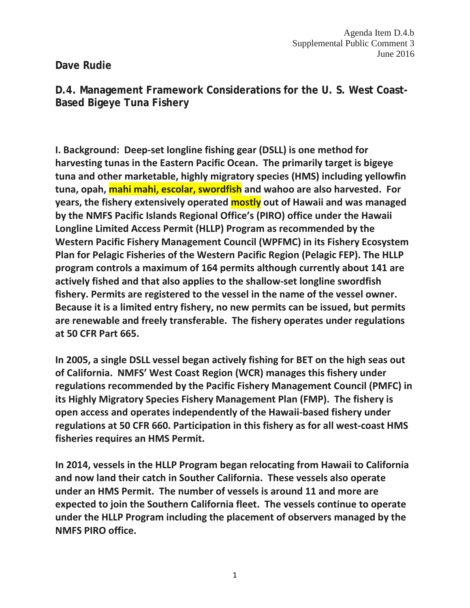Agenda Item D.4.b Supplemental Public Comment 3 June 2016

**Dave Rudie** 

**D.4. Management Framework Considerations for the U. S. West Coast-Based Bigeye Tuna Fishery**

**I. Background: Deep-set longline fishing gear (DSLL) is one method for harvesting tunas in the Eastern Pacific Ocean. The primarily target is bigeye tuna and other marketable, highly migratory species (HMS) including yellowfin tuna, opah, mahi mahi, escolar, swordfish and wahoo are also harvested. For years, the fishery extensively operated mostly out of Hawaii and was managed by the NMFS Pacific Islands Regional Office's (PIRO) office under the Hawaii Longline Limited Access Permit (HLLP) Program as recommended by the Western Pacific Fishery Management Council (WPFMC) in its Fishery Ecosystem Plan for Pelagic Fisheries of the Western Pacific Region (Pelagic FEP). The HLLP program controls a maximum of 164 permits although currently about 141 are actively fished and that also applies to the shallow-set longline swordfish fishery. Permits are registered to the vessel in the name of the vessel owner. Because it is a limited entry fishery, no new permits can be issued, but permits are renewable and freely transferable. The fishery operates under regulations at 50 CFR Part 665.** 

**In 2005, a single DSLL vessel began actively fishing for BET on the high seas out of California. NMFS' West Coast Region (WCR) manages this fishery under regulations recommended by the Pacific Fishery Management Council (PMFC) in its Highly Migratory Species Fishery Management Plan (FMP). The fishery is open access and operates independently of the Hawaii-based fishery under regulations at 50 CFR 660. Participation in this fishery as for all west-coast HMS fisheries requires an HMS Permit.** 

**In 2014, vessels in the HLLP Program began relocating from Hawaii to California and now land their catch in Souther California. These vessels also operate under an HMS Permit. The number of vessels is around 11 and more are expected to join the Southern California fleet. The vessels continue to operate under the HLLP Program including the placement of observers managed by the NMFS PIRO office.**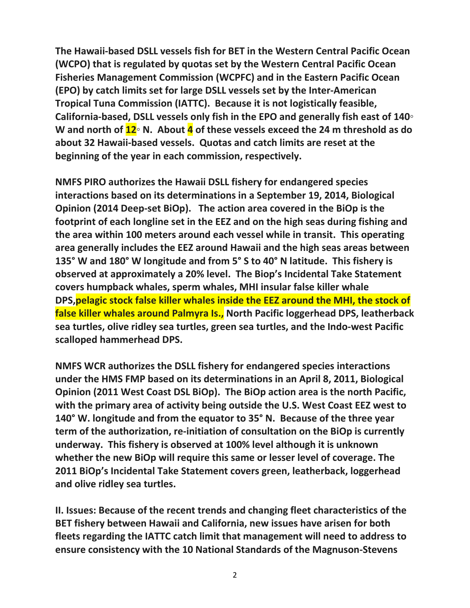**The Hawaii-based DSLL vessels fish for BET in the Western Central Pacific Ocean (WCPO) that is regulated by quotas set by the Western Central Pacific Ocean Fisheries Management Commission (WCPFC) and in the Eastern Pacific Ocean (EPO) by catch limits set for large DSLL vessels set by the Inter-American Tropical Tuna Commission (IATTC). Because it is not logistically feasible, California-based, DSLL vessels only fish in the EPO and generally fish east of 140◦ W and north of 12◦ N. About 4 of these vessels exceed the 24 m threshold as do about 32 Hawaii-based vessels. Quotas and catch limits are reset at the beginning of the year in each commission, respectively.**

**NMFS PIRO authorizes the Hawaii DSLL fishery for endangered species interactions based on its determinations in a September 19, 2014, Biological Opinion (2014 Deep-set BiOp). The action area covered in the BiOp is the footprint of each longline set in the EEZ and on the high seas during fishing and the area within 100 meters around each vessel while in transit. This operating area generally includes the EEZ around Hawaii and the high seas areas between 135° W and 180° W longitude and from 5° S to 40° N latitude. This fishery is observed at approximately a 20% level. The Biop's Incidental Take Statement covers humpback whales, sperm whales, MHI insular false killer whale DPS,pelagic stock false killer whales inside the EEZ around the MHI, the stock of false killer whales around Palmyra Is., North Pacific loggerhead DPS, leatherback sea turtles, olive ridley sea turtles, green sea turtles, and the Indo-west Pacific scalloped hammerhead DPS.**

**NMFS WCR authorizes the DSLL fishery for endangered species interactions under the HMS FMP based on its determinations in an April 8, 2011, Biological Opinion (2011 West Coast DSL BiOp). The BiOp action area is the north Pacific, with the primary area of activity being outside the U.S. West Coast EEZ west to 140° W. longitude and from the equator to 35° N. Because of the three year term of the authorization, re-initiation of consultation on the BiOp is currently underway. This fishery is observed at 100% level although it is unknown whether the new BiOp will require this same or lesser level of coverage. The 2011 BiOp's Incidental Take Statement covers green, leatherback, loggerhead and olive ridley sea turtles.** 

**II. Issues: Because of the recent trends and changing fleet characteristics of the BET fishery between Hawaii and California, new issues have arisen for both fleets regarding the IATTC catch limit that management will need to address to ensure consistency with the 10 National Standards of the Magnuson-Stevens**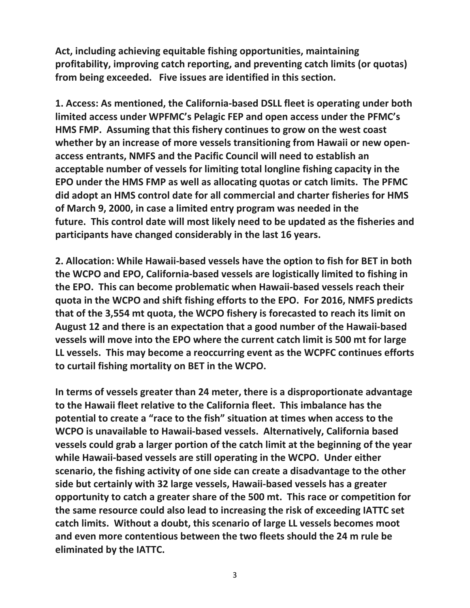**Act, including achieving equitable fishing opportunities, maintaining profitability, improving catch reporting, and preventing catch limits (or quotas) from being exceeded. Five issues are identified in this section.**

**1. Access: As mentioned, the California-based DSLL fleet is operating under both limited access under WPFMC's Pelagic FEP and open access under the PFMC's HMS FMP. Assuming that this fishery continues to grow on the west coast whether by an increase of more vessels transitioning from Hawaii or new openaccess entrants, NMFS and the Pacific Council will need to establish an acceptable number of vessels for limiting total longline fishing capacity in the EPO under the HMS FMP as well as allocating quotas or catch limits. The PFMC did adopt an HMS control date for all commercial and charter fisheries for HMS of March 9, 2000, in case a limited entry program was needed in the future. This control date will most likely need to be updated as the fisheries and participants have changed considerably in the last 16 years.** 

**2. Allocation: While Hawaii-based vessels have the option to fish for BET in both the WCPO and EPO, California-based vessels are logistically limited to fishing in the EPO. This can become problematic when Hawaii-based vessels reach their quota in the WCPO and shift fishing efforts to the EPO. For 2016, NMFS predicts that of the 3,554 mt quota, the WCPO fishery is forecasted to reach its limit on August 12 and there is an expectation that a good number of the Hawaii-based vessels will move into the EPO where the current catch limit is 500 mt for large LL vessels. This may become a reoccurring event as the WCPFC continues efforts to curtail fishing mortality on BET in the WCPO.**

**In terms of vessels greater than 24 meter, there is a disproportionate advantage to the Hawaii fleet relative to the California fleet. This imbalance has the potential to create a "race to the fish" situation at times when access to the WCPO is unavailable to Hawaii-based vessels. Alternatively, California based vessels could grab a larger portion of the catch limit at the beginning of the year while Hawaii-based vessels are still operating in the WCPO. Under either scenario, the fishing activity of one side can create a disadvantage to the other side but certainly with 32 large vessels, Hawaii-based vessels has a greater opportunity to catch a greater share of the 500 mt. This race or competition for the same resource could also lead to increasing the risk of exceeding IATTC set catch limits. Without a doubt, this scenario of large LL vessels becomes moot and even more contentious between the two fleets should the 24 m rule be eliminated by the IATTC.**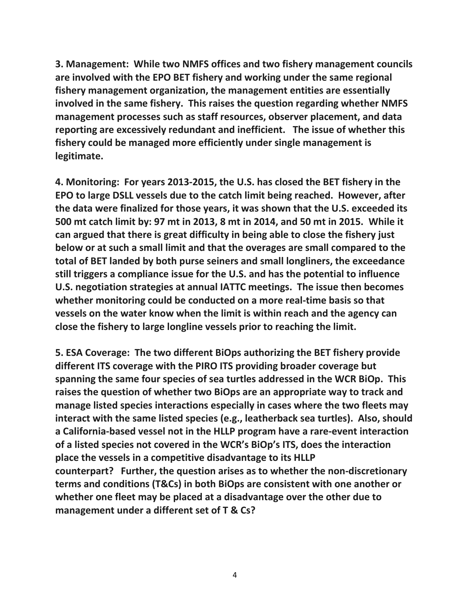**3. Management: While two NMFS offices and two fishery management councils are involved with the EPO BET fishery and working under the same regional fishery management organization, the management entities are essentially involved in the same fishery. This raises the question regarding whether NMFS management processes such as staff resources, observer placement, and data reporting are excessively redundant and inefficient. The issue of whether this fishery could be managed more efficiently under single management is legitimate.**

**4. Monitoring: For years 2013-2015, the U.S. has closed the BET fishery in the EPO to large DSLL vessels due to the catch limit being reached. However, after the data were finalized for those years, it was shown that the U.S. exceeded its 500 mt catch limit by: 97 mt in 2013, 8 mt in 2014, and 50 mt in 2015. While it can argued that there is great difficulty in being able to close the fishery just below or at such a small limit and that the overages are small compared to the total of BET landed by both purse seiners and small longliners, the exceedance still triggers a compliance issue for the U.S. and has the potential to influence U.S. negotiation strategies at annual IATTC meetings. The issue then becomes whether monitoring could be conducted on a more real-time basis so that vessels on the water know when the limit is within reach and the agency can close the fishery to large longline vessels prior to reaching the limit.**

**5. ESA Coverage: The two different BiOps authorizing the BET fishery provide different ITS coverage with the PIRO ITS providing broader coverage but spanning the same four species of sea turtles addressed in the WCR BiOp. This raises the question of whether two BiOps are an appropriate way to track and manage listed species interactions especially in cases where the two fleets may interact with the same listed species (e.g., leatherback sea turtles). Also, should a California-based vessel not in the HLLP program have a rare-event interaction of a listed species not covered in the WCR's BiOp's ITS, does the interaction place the vessels in a competitive disadvantage to its HLLP counterpart? Further, the question arises as to whether the non-discretionary terms and conditions (T&Cs) in both BiOps are consistent with one another or whether one fleet may be placed at a disadvantage over the other due to management under a different set of T & Cs?**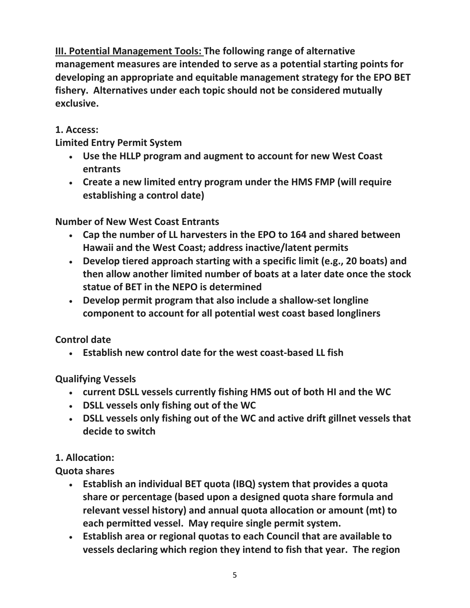**III. Potential Management Tools: The following range of alternative management measures are intended to serve as a potential starting points for developing an appropriate and equitable management strategy for the EPO BET fishery. Alternatives under each topic should not be considered mutually exclusive.**

# **1. Access:**

**Limited Entry Permit System**

- **Use the HLLP program and augment to account for new West Coast entrants**
- **Create a new limited entry program under the HMS FMP (will require establishing a control date)**

# **Number of New West Coast Entrants**

- **Cap the number of LL harvesters in the EPO to 164 and shared between Hawaii and the West Coast; address inactive/latent permits**
- **Develop tiered approach starting with a specific limit (e.g., 20 boats) and then allow another limited number of boats at a later date once the stock statue of BET in the NEPO is determined**
- **Develop permit program that also include a shallow-set longline component to account for all potential west coast based longliners**

## **Control date**

• **Establish new control date for the west coast-based LL fish**

**Qualifying Vessels**

- **current DSLL vessels currently fishing HMS out of both HI and the WC**
- **DSLL vessels only fishing out of the WC**
- **DSLL vessels only fishing out of the WC and active drift gillnet vessels that decide to switch**

# **1. Allocation:**

**Quota shares**

- **Establish an individual BET quota (IBQ) system that provides a quota share or percentage (based upon a designed quota share formula and relevant vessel history) and annual quota allocation or amount (mt) to each permitted vessel. May require single permit system.**
- **Establish area or regional quotas to each Council that are available to vessels declaring which region they intend to fish that year. The region**